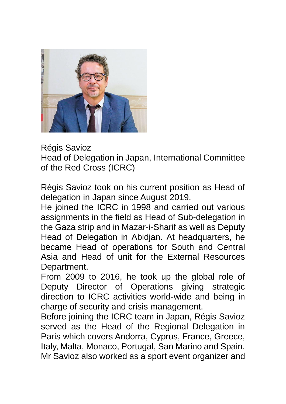

Régis Savioz

Head of Delegation in Japan, International Committee of the Red Cross (ICRC)

Régis Savioz took on his current position as Head of delegation in Japan since August 2019.

He joined the ICRC in 1998 and carried out various assignments in the field as Head of Sub-delegation in the Gaza strip and in Mazar-i-Sharif as well as Deputy Head of Delegation in Abidjan. At headquarters, he became Head of operations for South and Central Asia and Head of unit for the External Resources Department.

From 2009 to 2016, he took up the global role of Deputy Director of Operations giving strategic direction to ICRC activities world-wide and being in charge of security and crisis management.

Before joining the ICRC team in Japan, Régis Savioz served as the Head of the Regional Delegation in Paris which covers Andorra, Cyprus, France, Greece, Italy, Malta, Monaco, Portugal, San Marino and Spain. Mr Savioz also worked as a sport event organizer and